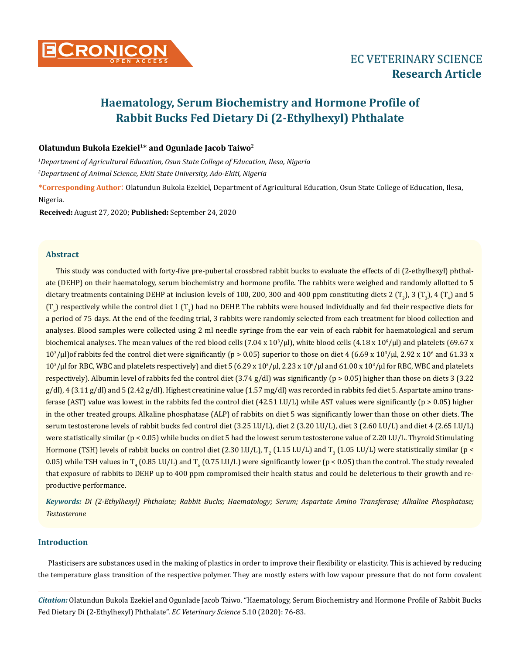

# **Haematology, Serum Biochemistry and Hormone Profile of Rabbit Bucks Fed Dietary Di (2-Ethylhexyl) Phthalate**

# **Olatundun Bukola Ezekiel1\* and Ogunlade Jacob Taiwo2**

*1 Department of Agricultural Education, Osun State College of Education, Ilesa, Nigeria*

*2 Department of Animal Science, Ekiti State University, Ado-Ekiti, Nigeria*

**\*Corresponding Author**: Olatundun Bukola Ezekiel, Department of Agricultural Education, Osun State College of Education, Ilesa, Nigeria.

**Received:** August 27, 2020; **Published:** September 24, 2020

## **Abstract**

This study was conducted with forty-five pre-pubertal crossbred rabbit bucks to evaluate the effects of di (2-ethylhexyl) phthalate (DEHP) on their haematology, serum biochemistry and hormone profile. The rabbits were weighed and randomly allotted to 5 dietary treatments containing DEHP at inclusion levels of 100, 200, 300 and 400 ppm constituting diets 2  $(\Gamma_2)$ , 3  $(\Gamma_3)$ , 4  $(\Gamma_4)$  and 5  $(T_{5})$  respectively while the control diet 1  $(T_{1})$  had no DEHP. The rabbits were housed individually and fed their respective diets for a period of 75 days. At the end of the feeding trial, 3 rabbits were randomly selected from each treatment for blood collection and analyses. Blood samples were collected using 2 ml needle syringe from the ear vein of each rabbit for haematological and serum biochemical analyses. The mean values of the red blood cells (7.04 x  $10^3/\mu$ ), white blood cells (4.18 x  $10^6/\mu$ ) and platelets (69.67 x  $10^3$ /µl)of rabbits fed the control diet were significantly (p > 0.05) superior to those on diet 4 (6.69 x  $10^3$ /µl, 2.92 x  $10^6$  and 61.33 x  $10<sup>3</sup>/μ$  for RBC, WBC and platelets respectively) and diet 5 (6.29 x  $10<sup>3</sup>/μl$ , 2.23 x  $10<sup>5</sup>/μl$  and 61.00 x  $10<sup>3</sup>/μl$  for RBC, WBC and platelets respectively). Albumin level of rabbits fed the control diet (3.74 g/dl) was significantly (p > 0.05) higher than those on diets 3 (3.22 g/dl), 4 (3.11 g/dl) and 5 (2.42 g/dl). Highest creatinine value (1.57 mg/dl) was recorded in rabbits fed diet 5. Aspartate amino transferase (AST) value was lowest in the rabbits fed the control diet (42.51 I.U/L) while AST values were significantly (p > 0.05) higher in the other treated groups. Alkaline phosphatase (ALP) of rabbits on diet 5 was significantly lower than those on other diets. The serum testosterone levels of rabbit bucks fed control diet (3.25 I.U/L), diet 2 (3.20 I.U/L), diet 3 (2.60 I.U/L) and diet 4 (2.65 I.U/L) were statistically similar (p < 0.05) while bucks on diet 5 had the lowest serum testosterone value of 2.20 I.U/L. Thyroid Stimulating Hormone (TSH) levels of rabbit bucks on control diet (2.30 LU/L),  $T_2$  (1.15 LU/L) and  $T_3$  (1.05 LU/L) were statistically similar (p < 0.05) while TSH values in T<sub>4</sub> (0.85 I.U/L) and T<sub>5</sub> (0.75 I.U/L) were significantly lower (p < 0.05) than the control. The study revealed that exposure of rabbits to DEHP up to 400 ppm compromised their health status and could be deleterious to their growth and reproductive performance.

*Keywords: Di (2-Ethylhexyl) Phthalate; Rabbit Bucks; Haematology; Serum; Aspartate Amino Transferase; Alkaline Phosphatase; Testosterone*

# **Introduction**

Plasticisers are substances used in the making of plastics in order to improve their flexibility or elasticity. This is achieved by reducing the temperature glass transition of the respective polymer. They are mostly esters with low vapour pressure that do not form covalent

*Citation:* Olatundun Bukola Ezekiel and Ogunlade Jacob Taiwo. "Haematology, Serum Biochemistry and Hormone Profile of Rabbit Bucks Fed Dietary Di (2-Ethylhexyl) Phthalate". *EC Veterinary Science* 5.10 (2020): 76-83.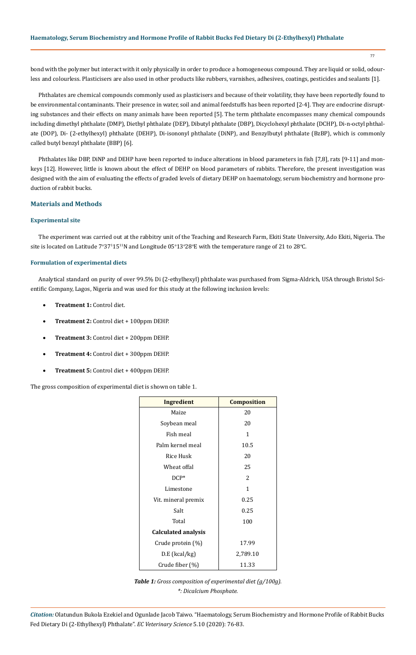77

bond with the polymer but interact with it only physically in order to produce a homogeneous compound. They are liquid or solid, odourless and colourless. Plasticisers are also used in other products like rubbers, varnishes, adhesives, coatings, pesticides and sealants [1].

Phthalates are chemical compounds commonly used as plasticisers and because of their volatility, they have been reportedly found to be environmental contaminants. Their presence in water, soil and animal feedstuffs has been reported [2-4]. They are endocrine disrupting substances and their effects on many animals have been reported [5]. The term phthalate encompasses many chemical compounds including dimethyl phthalate (DMP), Diethyl phthalate (DEP), Dibutyl phthalate (DBP), Dicyclohexyl phthalate (DCHP), Di-n-octyl phthalate (DOP), Di- (2-ethylhexyl) phthalate (DEHP), Di-isononyl phthalate (DiNP), and Benzylbutyl phthalate (BzBP), which is commonly called butyl benzyl phthalate (BBP) [6].

Phthalates like DBP, DiNP and DEHP have been reported to induce alterations in blood parameters in fish [7,8], rats [9-11] and monkeys [12]. However, little is known about the effect of DEHP on blood parameters of rabbits. Therefore, the present investigation was designed with the aim of evaluating the effects of graded levels of dietary DEHP on haematology, serum biochemistry and hormone production of rabbit bucks.

## **Materials and Methods**

## **Experimental site**

The experiment was carried out at the rabbitry unit of the Teaching and Research Farm, Ekiti State University, Ado Ekiti, Nigeria. The site is located on Latitude  $7^{\circ}37^115^{11}\text{N}$  and Longitude  $05^{\circ}13^{\circ}28^{\circ}\text{E}$  with the temperature range of 21 to 28°C.

## **Formulation of experimental diets**

Analytical standard on purity of over 99.5% Di (2-ethylhexyl) phthalate was purchased from Sigma-Aldrich, USA through Bristol Scientific Company, Lagos, Nigeria and was used for this study at the following inclusion levels:

- **Treatment 1: Control diet.**
- **Treatment 2:** Control diet + 100ppm DEHP.
- **Treatment 3:** Control diet + 200ppm DEHP.
- **Treatment 4:** Control diet + 300ppm DEHP.
- **Treatment 5:** Control diet + 400ppm DEHP.

The gross composition of experimental diet is shown on table 1.

| <b>Ingredient</b>          | <b>Composition</b> |  |  |  |
|----------------------------|--------------------|--|--|--|
| Maize                      | 20                 |  |  |  |
| Soybean meal               | 20                 |  |  |  |
| Fish meal                  | 1                  |  |  |  |
| Palm kernel meal           | 10.5               |  |  |  |
| Rice Husk                  | 20                 |  |  |  |
| Wheat offal                | 25                 |  |  |  |
| $DCP^*$                    | 2                  |  |  |  |
| Limestone                  | 1                  |  |  |  |
| Vit. mineral premix        | 0.25               |  |  |  |
| Salt                       | 0.25               |  |  |  |
| Total                      | 100                |  |  |  |
| <b>Calculated analysis</b> |                    |  |  |  |
| Crude protein (%)          | 17.99              |  |  |  |
| $D.E$ (kcal/kg)            | 2,789.10           |  |  |  |
| Crude fiber (%)            | 11.33              |  |  |  |



*Citation:* Olatundun Bukola Ezekiel and Ogunlade Jacob Taiwo. "Haematology, Serum Biochemistry and Hormone Profile of Rabbit Bucks Fed Dietary Di (2-Ethylhexyl) Phthalate". *EC Veterinary Science* 5.10 (2020): 76-83.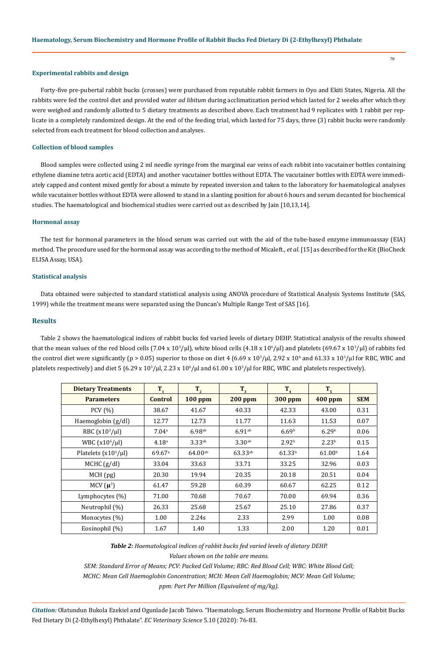## **Experimental rabbits and design**

Forty-five pre-pubertal rabbit bucks (crosses) were purchased from reputable rabbit farmers in Oyo and Ekiti States, Nigeria. All the rabbits were fed the control diet and provided water *ad libitum* during acclimatization period which lasted for 2 weeks after which they were weighed and randomly allotted to 5 dietary treatments as described above. Each treatment had 9 replicates with 1 rabbit per replicate in a completely randomized design. At the end of the feeding trial, which lasted for 75 days, three (3) rabbit bucks were randomly selected from each treatment for blood collection and analyses.

## **Collection of blood samples**

Blood samples were collected using 2 ml needle syringe from the marginal ear veins of each rabbit into vacutainer bottles containing ethylene diamine tetra acetic acid (EDTA) and another vacutainer bottles without EDTA. The vacutainer bottles with EDTA were immediately capped and content mixed gently for about a minute by repeated inversion and taken to the laboratory for haematological analyses while vacutainer bottles without EDTA were allowed to stand in a slanting position for about 6 hours and serum decanted for biochemical studies. The haematological and biochemical studies were carried out as described by Jain [10,13,14].

#### **Hormonal assay**

The test for hormonal parameters in the blood serum was carried out with the aid of the tube-based enzyme immunoassay (EIA) method. The procedure used for the hormonal assay was according to the method of Micaleft., *et al*. [15] as described for the Kit (BioCheck ELISA Assay, USA).

#### **Statistical analysis**

Data obtained were subjected to standard statistical analysis using ANOVA procedure of Statistical Analysis Systems Institute (SAS, 1999) while the treatment means were separated using the Duncan's Multiple Range Test of SAS [16].

## **Results**

Table 2 shows the haematological indices of rabbit bucks fed varied levels of dietary DEHP. Statistical analysis of the results showed that the mean values of the red blood cells (7.04 x  $10^3/\mu$ ), white blood cells (4.18 x  $10^6/\mu$ ) and platelets (69.67 x  $10^3/\mu$ ) of rabbits fed the control diet were significantly (p > 0.05) superior to those on diet 4 (6.69 x 10<sup>3</sup>/μl, 2.92 x 10<sup>5</sup> and 61.33 x 10<sup>3</sup>/μl for RBC, WBC and platelets respectively) and diet 5 (6.29 x  $10^3/\mu$ l, 2.23 x  $10^6/\mu$ l and 61.00 x  $10^3/\mu$  for RBC, WBC and platelets respectively).

| <b>Dietary Treatments</b> | $T_{1}$              | $T_{2}$              | $T_{3}$              | T <sub>4</sub>     | T <sub>5</sub>     |            |
|---------------------------|----------------------|----------------------|----------------------|--------------------|--------------------|------------|
| <b>Parameters</b>         | <b>Control</b>       | $100$ ppm            | <b>200 ppm</b>       | <b>300 ppm</b>     | <b>400 ppm</b>     | <b>SEM</b> |
| PCV(%)                    | 38.67                | 41.67                | 40.33                | 42.33              | 43.00              | 0.31       |
| Haemoglobin (g/dl)        | 12.77                | 12.73                | 11.77                | 11.63              | 11.53              | 0.07       |
| RBC $(x10^3/\mu l)$       | 7.04 <sup>a</sup>    | $6.98$ <sup>ab</sup> | $6.91$ <sup>ab</sup> | 6.69 <sup>b</sup>  | 6.29 <sup>b</sup>  | 0.06       |
| WBC $(x10^6/\mu l)$       | 4.18 <sup>a</sup>    | $3.33^{ab}$          | $3.30^{ab}$          | 2.92 <sup>b</sup>  | 2.23 <sup>b</sup>  | 0.15       |
| Platelets $(x10^3/\mu l)$ | $69.67$ <sup>a</sup> | $64.00^{ab}$         | $63.33^{ab}$         | 61.33 <sup>b</sup> | 61.00 <sup>b</sup> | 1.64       |
| $MCHC$ (g/dl)             | 33.04                | 33.63                | 33.71                | 33.25              | 32.96              | 0.03       |
| MCH (pg)                  | 20.30                | 19.94                | 20.35                | 20.18              | 20.51              | 0.04       |
| MCV $(\mu^3)$             | 61.47                | 59.28                | 60.39                | 60.67              | 62.25              | 0.12       |
| Lymphocytes $(\%)$        | 71.00                | 70.68                | 70.67                | 70.00              | 69.94              | 0.36       |
| Neutrophil (%)            | 26.33                | 25.68                | 25.67                | 25.10              | 27.86              | 0.37       |
| Monocytes (%)             | 1.00                 | 2.24s                | 2.33                 | 2.99               | 1.00               | 0.08       |
| Eosinophil (%)            | 1.67                 | 1.40                 | 1.33                 | 2.00               | 1.20               | 0.01       |

*Table 2: Haematological indices of rabbit bucks fed varied levels of dietary DEHP.*

*Values shown on the table are means.*

*SEM: Standard Error of Means; PCV: Packed Cell Volume; RBC: Red Blood Cell; WBC: White Blood Cell; MCHC: Mean Cell Haemoglobin Concentration; MCH: Mean Cell Haemoglobin; MCV: Mean Cell Volume; ppm: Part Per Million (Equivalent of mg/kg).*

*Citation:* Olatundun Bukola Ezekiel and Ogunlade Jacob Taiwo. "Haematology, Serum Biochemistry and Hormone Profile of Rabbit Bucks Fed Dietary Di (2-Ethylhexyl) Phthalate". *EC Veterinary Science* 5.10 (2020): 76-83.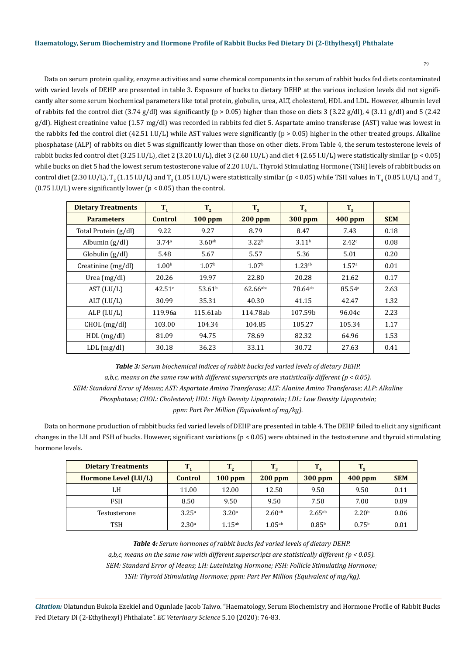79

Data on serum protein quality, enzyme activities and some chemical components in the serum of rabbit bucks fed diets contaminated with varied levels of DEHP are presented in table 3. Exposure of bucks to dietary DEHP at the various inclusion levels did not significantly alter some serum biochemical parameters like total protein, globulin, urea, ALT, cholesterol, HDL and LDL. However, albumin level of rabbits fed the control diet  $(3.74 \text{ g/dl})$  was significantly  $(p > 0.05)$  higher than those on diets 3  $(3.22 \text{ g/dl})$ , 4  $(3.11 \text{ g/dl})$  and 5  $(2.42 \text{ g/dl})$ g/dl). Highest creatinine value (1.57 mg/dl) was recorded in rabbits fed diet 5. Aspartate amino transferase (AST) value was lowest in the rabbits fed the control diet (42.51 I.U/L) while AST values were significantly ( $p > 0.05$ ) higher in the other treated groups. Alkaline phosphatase (ALP) of rabbits on diet 5 was significantly lower than those on other diets. From Table 4, the serum testosterone levels of rabbit bucks fed control diet (3.25 I.U/L), diet 2 (3.20 I.U/L), diet 3 (2.60 I.U/L) and diet 4 (2.65 I.U/L) were statistically similar (p < 0.05) while bucks on diet 5 had the lowest serum testosterone value of 2.20 I.U/L. Thyroid Stimulating Hormone (TSH) levels of rabbit bucks on control diet (2.30 I.U/L),  $T_2$  (1.15 I.U/L) and  $T_3$  (1.05 I.U/L) were statistically similar (p < 0.05) while TSH values in  $T_4$  (0.85 I.U/L) and  $T_5$  $(0.75$  I.U/L) were significantly lower  $(p < 0.05)$  than the control.

| <b>Dietary Treatments</b> | $T_{1}$           | $T_{2}$            | $T_{3}$                | $T_{4}$            | T <sub>5</sub>    |            |
|---------------------------|-------------------|--------------------|------------------------|--------------------|-------------------|------------|
| <b>Parameters</b>         | <b>Control</b>    | $100$ ppm          | <b>200 ppm</b>         | <b>300 ppm</b>     | <b>400 ppm</b>    | <b>SEM</b> |
| Total Protein (g/dl)      | 9.22              | 9.27               | 8.79                   | 8.47               | 7.43              | 0.18       |
| Albumin $(g/d)$           | 3.74 <sup>a</sup> | 3.60 <sup>ab</sup> | 3.22 <sup>b</sup>      | 3.11 <sup>b</sup>  | 2.42c             | 0.08       |
| Globalin (g/dl)           | 5.48              | 5.67               | 5.57                   | 5.36               | 5.01              | 0.20       |
| Creatinine (mg/dl)        | 1.00 <sup>b</sup> | 1.07 <sup>b</sup>  | 1.07 <sup>b</sup>      | 1.23 <sup>ab</sup> | 1.57 <sup>a</sup> | 0.01       |
| Urea $(mg/dl)$            | 20.26             | 19.97              | 22.80                  | 20.28              | 21.62             | 0.17       |
| AST (I.U/L)               | 42.51c            | 53.61 <sup>b</sup> | $62.66$ <sup>abc</sup> | $78.64^{ab}$       | 85.54a            | 2.63       |
| ALT $(I.U/L)$             | 30.99             | 35.31              | 40.30                  | 41.15              | 42.47             | 1.32       |
| ALP $(IJ/L)$              | 119.96a           | 115.61ab           | 114.78ab               | 107.59b            | 96.04c            | 2.23       |
| CHOL (mg/dl)              | 103.00            | 104.34             | 104.85                 | 105.27             | 105.34            | 1.17       |
| HDL(mg/dl)                | 81.09             | 94.75              | 78.69                  | 82.32              | 64.96             | 1.53       |
| $LDL$ (mg/dl)             | 30.18             | 36.23              | 33.11                  | 30.72              | 27.63             | 0.41       |

*Table 3: Serum biochemical indices of rabbit bucks fed varied levels of dietary DEHP. a,b,c, means on the same row with different superscripts are statistically different (p < 0.05). SEM: Standard Error of Means; AST: Aspartate Amino Transferase; ALT: Alanine Amino Transferase; ALP: Alkaline Phosphatase; CHOL: Cholesterol; HDL: High Density Lipoprotein; LDL: Low Density Lipoprotein; ppm: Part Per Million (Equivalent of mg/kg).*

Data on hormone production of rabbit bucks fed varied levels of DEHP are presented in table 4. The DEHP failed to elicit any significant changes in the LH and FSH of bucks. However, significant variations ( $p < 0.05$ ) were obtained in the testosterone and thyroid stimulating hormone levels.

| <b>Dietary Treatments</b> | т                 | T                 | $T_{3}$            | т           |                   |            |
|---------------------------|-------------------|-------------------|--------------------|-------------|-------------------|------------|
| Hormone Level (I.U/L)     | Control           | $100$ ppm         | $200$ ppm          | $300$ ppm   | $400$ ppm         | <b>SEM</b> |
| LH                        | 11.00             | 12.00             | 12.50              | 9.50        | 9.50              | 0.11       |
| <b>FSH</b>                | 8.50              | 9.50              | 9.50               | 7.50        | 7.00              | 0.09       |
| Testosterone              | 3.25 <sup>a</sup> | 3.20 <sup>a</sup> | 2.60 <sup>ab</sup> | $2.65^{ab}$ | 2.20 <sup>b</sup> | 0.06       |
| TSH                       | 2.30 <sup>a</sup> | $1.15^{ab}$       | $1.05^{ab}$        | $0.85^{b}$  | 0.75 <sup>b</sup> | 0.01       |

*Table 4: Serum hormones of rabbit bucks fed varied levels of dietary DEHP. a,b,c, means on the same row with different superscripts are statistically different (p < 0.05). SEM: Standard Error of Means; LH: Luteinizing Hormone; FSH: Follicle Stimulating Hormone; TSH: Thyroid Stimulating Hormone; ppm: Part Per Million (Equivalent of mg/kg).*

*Citation:* Olatundun Bukola Ezekiel and Ogunlade Jacob Taiwo. "Haematology, Serum Biochemistry and Hormone Profile of Rabbit Bucks Fed Dietary Di (2-Ethylhexyl) Phthalate". *EC Veterinary Science* 5.10 (2020): 76-83.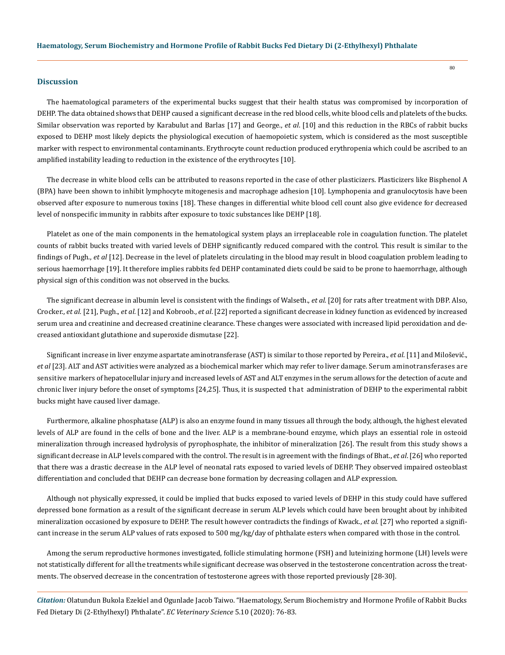## **Discussion**

The haematological parameters of the experimental bucks suggest that their health status was compromised by incorporation of DEHP. The data obtained shows that DEHP caused a significant decrease in the red blood cells, white blood cells and platelets of the bucks. Similar observation was reported by Karabulut and Barlas [17] and George., *et al*. [10] and this reduction in the RBCs of rabbit bucks exposed to DEHP most likely depicts the physiological execution of haemopoietic system, which is considered as the most susceptible marker with respect to environmental contaminants. Erythrocyte count reduction produced erythropenia which could be ascribed to an amplified instability leading to reduction in the existence of the erythrocytes [10].

The decrease in white blood cells can be attributed to reasons reported in the case of other plasticizers. Plasticizers like Bisphenol A (BPA) have been shown to inhibit lymphocyte mitogenesis and macrophage adhesion [10]. Lymphopenia and granulocytosis have been observed after exposure to numerous toxins [18]. These changes in differential white blood cell count also give evidence for decreased level of nonspecific immunity in rabbits after exposure to toxic substances like DEHP [18].

Platelet as one of the main components in the hematological system plays an irreplaceable role in coagulation function. The platelet counts of rabbit bucks treated with varied levels of DEHP significantly reduced compared with the control. This result is similar to the findings of Pugh., *et al* [12]. Decrease in the level of platelets circulating in the blood may result in blood coagulation problem leading to serious haemorrhage [19]. It therefore implies rabbits fed DEHP contaminated diets could be said to be prone to haemorrhage, although physical sign of this condition was not observed in the bucks.

The significant decrease in albumin level is consistent with the findings of Walseth., *et al.* [20] for rats after treatment with DBP. Also, Crocker., *et al.* [21], Pugh., *et al.* [12] and Kobroob., *et al*. [22] reported a significant decrease in kidney function as evidenced by increased serum urea and creatinine and decreased creatinine clearance. These changes were associated with increased lipid peroxidation and decreased antioxidant glutathione and superoxide dismutase [22].

Significant increase in liver enzyme aspartate aminotransferase (AST) is similar to those reported by Pereira., *et al*. [11] and Milošević., *et al* [23]. ALT and AST activities were analyzed as a biochemical marker which may refer to liver damage. Serum aminotransferases are sensitive markers of hepatocellular injury and increased levels of AST and ALT enzymes in the serum allows for the detection of acute and chronic liver injury before the onset of symptoms [24,25]. Thus, it is suspected that administration of DEHP to the experimental rabbit bucks might have caused liver damage.

Furthermore, alkaline phosphatase (ALP) is also an enzyme found in many tissues all through the body, although, the highest elevated levels of ALP are found in the cells of bone and the liver. ALP is a membrane-bound enzyme, which plays an essential role in osteoid mineralization through increased hydrolysis of pyrophosphate, the inhibitor of mineralization [26]. The result from this study shows a significant decrease in ALP levels compared with the control. The result is in agreement with the findings of Bhat., *et al*. [26] who reported that there was a drastic decrease in the ALP level of neonatal rats exposed to varied levels of DEHP. They observed impaired osteoblast differentiation and concluded that DEHP can decrease bone formation by decreasing collagen and ALP expression.

Although not physically expressed, it could be implied that bucks exposed to varied levels of DEHP in this study could have suffered depressed bone formation as a result of the significant decrease in serum ALP levels which could have been brought about by inhibited mineralization occasioned by exposure to DEHP. The result however contradicts the findings of Kwack., *et al.* [27] who reported a significant increase in the serum ALP values of rats exposed to 500 mg/kg/day of phthalate esters when compared with those in the control.

Among the serum reproductive hormones investigated, follicle stimulating hormone (FSH) and luteinizing hormone (LH) levels were not statistically different for all the treatments while significant decrease was observed in the testosterone concentration across the treatments. The observed decrease in the concentration of testosterone agrees with those reported previously [28-30].

*Citation:* Olatundun Bukola Ezekiel and Ogunlade Jacob Taiwo. "Haematology, Serum Biochemistry and Hormone Profile of Rabbit Bucks Fed Dietary Di (2-Ethylhexyl) Phthalate". *EC Veterinary Science* 5.10 (2020): 76-83.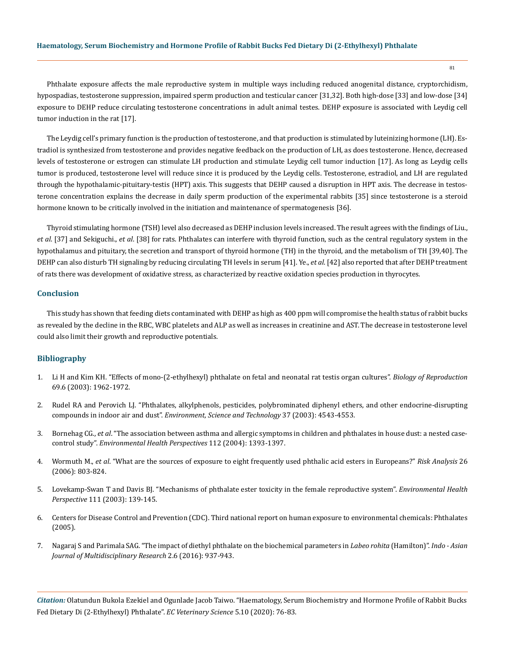Phthalate exposure affects the male reproductive system in multiple ways including reduced anogenital distance, cryptorchidism, hypospadias, testosterone suppression, impaired sperm production and testicular cancer [31,32]. Both high-dose [33] and low-dose [34] exposure to DEHP reduce circulating testosterone concentrations in adult animal testes. DEHP exposure is associated with Leydig cell tumor induction in the rat [17].

The Leydig cell's primary function is the production of testosterone, and that production is stimulated by luteinizing hormone (LH). Estradiol is synthesized from testosterone and provides negative feedback on the production of LH, as does testosterone. Hence, decreased levels of testosterone or estrogen can stimulate LH production and stimulate Leydig cell tumor induction [17]. As long as Leydig cells tumor is produced, testosterone level will reduce since it is produced by the Leydig cells. Testosterone, estradiol, and LH are regulated through the hypothalamic-pituitary-testis (HPT) axis. This suggests that DEHP caused a disruption in HPT axis. The decrease in testosterone concentration explains the decrease in daily sperm production of the experimental rabbits [35] since testosterone is a steroid hormone known to be critically involved in the initiation and maintenance of spermatogenesis [36].

Thyroid stimulating hormone (TSH) level also decreased as DEHP inclusion levels increased. The result agrees with the findings of Liu., *et al*. [37] and Sekiguchi., *et al*. [38] for rats. Phthalates can interfere with thyroid function, such as the central regulatory system in the hypothalamus and pituitary, the secretion and transport of thyroid hormone (TH) in the thyroid, and the metabolism of TH [39,40]. The DEHP can also disturb TH signaling by reducing circulating TH levels in serum [41]. Ye., *et al*. [42] also reported that after DEHP treatment of rats there was development of oxidative stress, as characterized by reactive oxidation species production in thyrocytes.

## **Conclusion**

This study has shown that feeding diets contaminated with DEHP as high as 400 ppm will compromise the health status of rabbit bucks as revealed by the decline in the RBC, WBC platelets and ALP as well as increases in creatinine and AST. The decrease in testosterone level could also limit their growth and reproductive potentials.

# **Bibliography**

- 1. [Li H and Kim KH. "Effects of mono-\(2-ethylhexyl\) phthalate on fetal and neonatal rat testis organ cultures".](https://academic.oup.com/biolreprod/article/69/6/1964/2712927) *Biology of Reproduction* [69.6 \(2003\): 1962-1972.](https://academic.oup.com/biolreprod/article/69/6/1964/2712927)
- 2. Rudel RA and Perovich LJ. "Phthalates, alkylphenols, [pesticides, polybrominated diphenyl ethers, and other endocrine-disrupting](https://pubs.acs.org/doi/10.1021/es0264596) compounds in indoor air and dust". *[Environment, Science and Technology](https://pubs.acs.org/doi/10.1021/es0264596)* 37 (2003): 4543-4553.
- 3. Bornehag CG., *et al*[. "The association between asthma and allergic symptoms in children and phthalates in house dust: a nested case](https://pubmed.ncbi.nlm.nih.gov/15471731/)control study". *[Environmental Health Perspectives](https://pubmed.ncbi.nlm.nih.gov/15471731/)* 112 (2004): 1393-1397.
- 4. Wormuth M., *et al*[. "What are the sources of exposure to eight frequently used phthalic acid esters in Europeans?"](https://www.researchgate.net/publication/312908946_What_are_the_sources_of_exposure_to_eight_frequently_used_phthalic_acid_esters_in_Europeans) *Risk Analysis* 26 [\(2006\): 803-824.](https://www.researchgate.net/publication/312908946_What_are_the_sources_of_exposure_to_eight_frequently_used_phthalic_acid_esters_in_Europeans)
- 5. [Lovekamp-Swan T and Davis BJ. "Mechanisms of phthalate ester toxicity in the female reproductive system".](https://www.ncbi.nlm.nih.gov/pmc/articles/PMC1241340/) *Environmental Health Perspective* [111 \(2003\): 139-145.](https://www.ncbi.nlm.nih.gov/pmc/articles/PMC1241340/)
- 6. Centers for Disease Control and Prevention (CDC). Third national report on human exposure to environmental chemicals: Phthalates (2005).
- 7. Nagaraj S [and Parimala SAG. "The impact of diethyl phthalate on the biochemical parameters in](https://www.academia.edu/33804600/THE_IMPACT_OF_DIETHYL_PHTHALATE_ON_THE_BIOCHEMICAL_PARAMETERS_IN_Labeo_rohita_Hamilton) *Labeo rohita* (Hamilton)". *Indo Asian [Journal of Multidisciplinary Research](https://www.academia.edu/33804600/THE_IMPACT_OF_DIETHYL_PHTHALATE_ON_THE_BIOCHEMICAL_PARAMETERS_IN_Labeo_rohita_Hamilton)* 2.6 (2016): 937-943.

*Citation:* Olatundun Bukola Ezekiel and Ogunlade Jacob Taiwo. "Haematology, Serum Biochemistry and Hormone Profile of Rabbit Bucks Fed Dietary Di (2-Ethylhexyl) Phthalate". *EC Veterinary Science* 5.10 (2020): 76-83.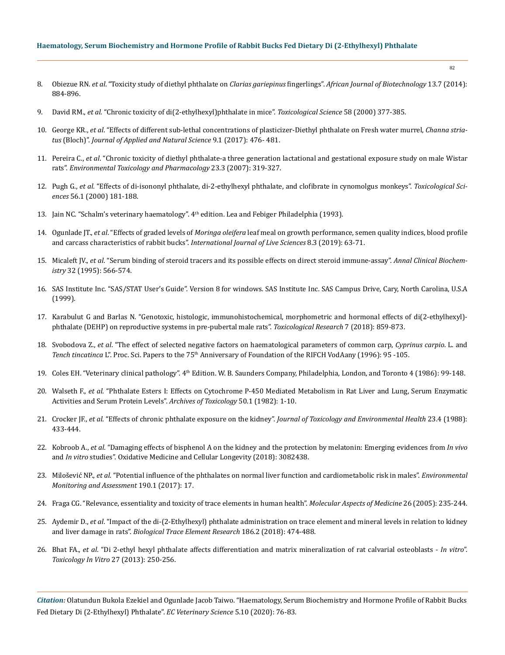## **Haematology, Serum Biochemistry and Hormone Profile of Rabbit Bucks Fed Dietary Di (2-Ethylhexyl) Phthalate**

- 8. Obiezue RN. *et al*. "Toxicity study of diethyl phthalate on *Clarias gariepinus* fingerlings". *[African Journal of Biotechnology](https://www.researchgate.net/publication/287343005_Toxicity_study_of_diethyl_phthalate_on_Clarias_gariepinus_fingerlings)* 13.7 (2014): [884-896.](https://www.researchgate.net/publication/287343005_Toxicity_study_of_diethyl_phthalate_on_Clarias_gariepinus_fingerlings)
- 9. David RM., *et al*[. "Chronic toxicity of di\(2-ethylhexyl\)phthalate in mice".](https://academic.oup.com/toxsci/article/55/2/433/1735933) *Toxicological Science* 58 (2000) 377-385.
- 10. George KR., *et al*[. "Effects of different sub-lethal concentrations of plasticizer-Diethyl phthalate on Fresh water murrel,](https://journals.ansfoundation.org/index.php/jans/article/view/1217) *Channa striatus* (Bloch)". *[Journal of Applied and Natural Science](https://journals.ansfoundation.org/index.php/jans/article/view/1217)* 9.1 (2017): 476- 481.
- 11. Pereira C., *et al*[. "Chronic toxicity of diethyl phthalate-a three generation lactational and gestational exposure study on male Wistar](https://europepmc.org/article/med/21783775)  rats". *[Environmental Toxicology and Pharmacology](https://europepmc.org/article/med/21783775)* 23.3 (2007): 319-327.
- 12. Pugh G., *et al*[. "Effects of di-isononyl phthalate, di-2-ethylhexyl phthalate, and clofibrate in cynomolgus monkeys".](https://pubmed.ncbi.nlm.nih.gov/10869467/) *Toxicological Sciences* [56.1 \(2000\) 181-188.](https://pubmed.ncbi.nlm.nih.gov/10869467/)
- 13. Jain NC. "Schalm's veterinary haematology". 4th edition. Lea and Febiger Philadelphia (1993).
- 14. Ogunlade JT., *et al*. "Effects of graded levels of *Moringa oleifera* [leaf meal on growth performance, semen quality indices, blood profile](http://www.crdeepjournal.org/wp-content/uploads/2019/04/Vol-8-3-1-IJLS.pdf)  and carcass characteristics of rabbit bucks". *[International Journal of Live Sciences](http://www.crdeepjournal.org/wp-content/uploads/2019/04/Vol-8-3-1-IJLS.pdf)* 8.3 (2019): 63-71.
- 15. Micaleft JV., *et al*[. "Serum binding of steroid tracers and its possible effects on direct steroid immune-assay".](https://pubmed.ncbi.nlm.nih.gov/8579290/) *Annal Clinical Biochemistry* [32 \(1995\): 566-574.](https://pubmed.ncbi.nlm.nih.gov/8579290/)
- 16. SAS Institute Inc. "SAS/STAT User's Guide". Version 8 for windows. SAS Institute Inc. SAS Campus Drive, Cary, North Carolina, U.S.A (1999).
- 17. Karabulut G and Barlas N. "Genotoxic, histologic, immunohistochemical, morphometric and hormonal effects of di(2-ethylhexyl) phthalate (DEHP) on reproductive systems in pre-pubertal male rats". *Toxicological Research* 7 (2018): 859-873.
- 18. Svobodova Z., *et al*[. "The effect of selected negative factors on haematological parameters of common carp,](https://actavet.vfu.cz/media/pdf/avb_2001070040457.pdf) *Cyprinus carpio*. L. and *Tench tincatinca* L". Proc. Sci. Papers to the 75th [Anniversary of Foundation of the RIFCH VodAany \(1996\): 95 -105.](https://actavet.vfu.cz/media/pdf/avb_2001070040457.pdf)
- 19. Coles EH. "Veterinary clinical pathology". 4th [Edition. W. B. Saunders Company, Philadelphia, London, and Toronto 4 \(1986\): 99-148.](https://onlinelibrary.wiley.com/journal/1939165x)
- 20. Walseth F., *et al*[. "Phthalate Esters I: Effects on Cytochrome P-450 Mediated Metabolism in Rat Liver and Lung, Serum Enzymatic](https://link.springer.com/article/10.1007/BF00569231)  [Activities and Serum Protein Levels".](https://link.springer.com/article/10.1007/BF00569231) *Archives of Toxicology* 50.1 (1982): 1-10.
- 21. Crocker JF., *et al*. "Effects of chronic phthalate exposure on the kidney". *[Journal of Toxicology and Environmental Health](https://pubmed.ncbi.nlm.nih.gov/3361614/https:/pubmed.ncbi.nlm.nih.gov/3361614/)* 23.4 (1988): [433-444.](https://pubmed.ncbi.nlm.nih.gov/3361614/https:/pubmed.ncbi.nlm.nih.gov/3361614/)
- 22. Kobroob A., *et al*[. "Damaging effects of bisphenol A on the kidney and the protection by melatonin: Emerging evidences from](https://www.hindawi.com/journals/omcl/2018/3082438/) *In vivo* and *In vitro* [studies". Oxidative Medicine and Cellular Longevity \(2018\): 3082438.](https://www.hindawi.com/journals/omcl/2018/3082438/)
- 23. Milošević NP., *et al*[. "Potential influence of the phthalates on normal liver function and cardiometabolic risk in males".](https://pubmed.ncbi.nlm.nih.gov/29234897/) *Environmental [Monitoring and Assessment](https://pubmed.ncbi.nlm.nih.gov/29234897/)* 190.1 (2017): 17.
- 24. [Fraga CG. "Relevance, essentiality and toxicity of trace elements in human health".](https://pubmed.ncbi.nlm.nih.gov/16125765/) *Molecular Aspects of Medicine* 26 (2005): 235-244.
- 25. Aydemir D., *et al*. ["Impact of the di-\(2-Ethylhexyl\) phthalate administration on trace element and mineral levels in relation to kidney](https://www.researchgate.net/publication/324512309_Impact_of_the_Di2-Ethylhexyl_Phthalate_Administration_on_Trace_Element_and_Mineral_Levels_in_Relation_of_Kidney_and_Liver_Damage_in_Rats)  and liver damage in rats". *[Biological Trace Element Research](https://www.researchgate.net/publication/324512309_Impact_of_the_Di2-Ethylhexyl_Phthalate_Administration_on_Trace_Element_and_Mineral_Levels_in_Relation_of_Kidney_and_Liver_Damage_in_Rats)* 186.2 (2018): 474-488.
- 26. Bhat FA., *et al*[. "Di 2-ethyl hexyl phthalate affects differentiation and matrix mineralization of rat calvarial osteoblasts](https://www.sciencedirect.com/science/article/abs/pii/S0887233312002573) *In vitro*". *[Toxicology In Vitro](https://www.sciencedirect.com/science/article/abs/pii/S0887233312002573)* 27 (2013): 250-256.

*Citation:* Olatundun Bukola Ezekiel and Ogunlade Jacob Taiwo. "Haematology, Serum Biochemistry and Hormone Profile of Rabbit Bucks Fed Dietary Di (2-Ethylhexyl) Phthalate". *EC Veterinary Science* 5.10 (2020): 76-83.